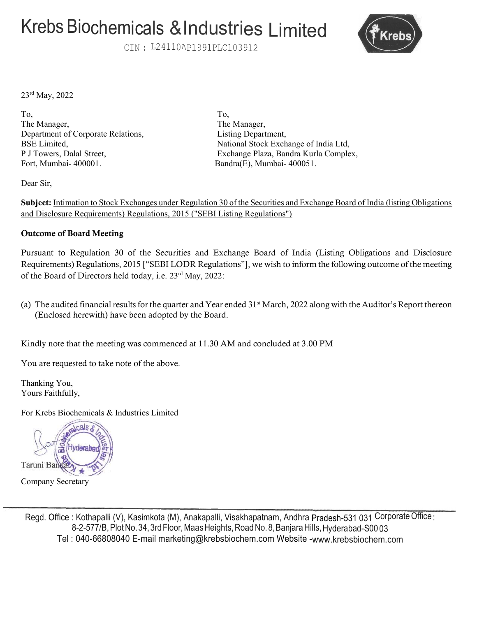# Krebs Biochemicals & Industries Limited

CIN : L24110AP1991PLC1039l2



23rd May, 2022

To, To, The Manager, The Manager, Department of Corporate Relations, Listing Department, Fort, Mumbai- 400001. Bandra(E), Mumbai- 400051.

BSE Limited, National Stock Exchange of India Ltd, P J Towers, Dalal Street, Exchange Plaza, Bandra Kurla Complex,

Dear Sir,

Subject: Intimation to Stock Exchanges under Regulation 30 of the Securities and Exchange Board of India (listing Obligations and Disclosure Requirements) Regulations, 2015 ("SEBI Listing Regulations")

#### Outcome of Board Meeting

Pursuant to Regulation 30 of the Securities and Exchange Board of India (Listing Obligations and Disclosure Requirements) Regulations, 2015 ["SEBI LODR Regulations"], we wish to inform the following outcome of the meeting of the Board of Directors held today, i.e. 23rd May, 2022:

(a) The audited financial results for the quarter and Year ended  $31<sup>st</sup>$  March, 2022 along with the Auditor's Report thereon (Enclosed herewith) have been adopted by the Board.

Kindly note that the meeting was commenced at 11.30 AM and concluded at 3.00 PM

You are requested to take note of the above.

Thanking You, Yours Faithfully,

For Krebs Biochemicals & Industries Limited



Company Secretary

Regd. Office : Kothapalli (V), Kasimkota (M), Anakapalli, Visakhapatnam, Andhra Pradesh-531 031 Corporate Office : 8-2-577/B, Plot No. 34, 3rd Floor, Maas Heights, Road No. 8, Banjara Hills, Hyderabad-S00 03 Tel : 040-66808040 E-mail marketing@krebsbiochem.com Website -www.krebsbiochem.com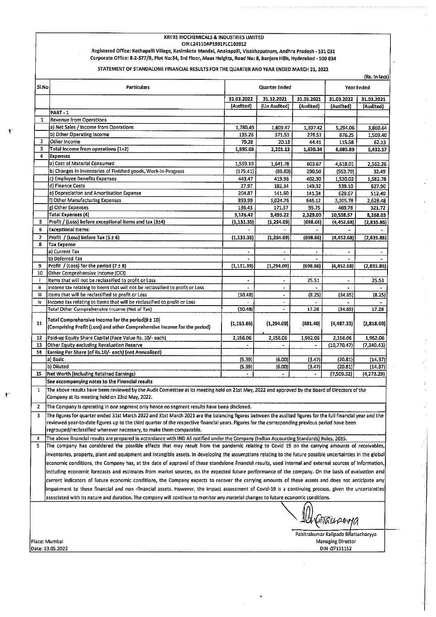#### **KREBS BIOCHEMICALS & INDUSTRIES LIMITED**

CIN:L24110AP1991PLC103912

Registered Office: Kothapalli Village, Kasimkota Mandal, Anakapalli, Visakhapatnam, Andhra Pradesh - 531 031 Corporate Office: 8-2-577/B, Plot No:34, 3rd Floor, Maas Heights, Road No: 8, Banjara Hills, Hyderabad - 500 034

STATEMENT OF STANDALONE FINANCIAL RESULTS FOR THE QUARTER AND YEAR ENDED MARCH 31, 2022

|              |                                                                                                                                                      |                                                                                                                                                                                                                                                                                                                                                                                                                                                                                                                                                                                                                                                                                                                                                                                                                                                                                                                                                                                                                                                                                                                                                                                                                                                                                                                                                                                                                                                                                                                                                                                                                                                                                                    |                       |                   |                          | (RS. IN 18CS) |  |
|--------------|------------------------------------------------------------------------------------------------------------------------------------------------------|----------------------------------------------------------------------------------------------------------------------------------------------------------------------------------------------------------------------------------------------------------------------------------------------------------------------------------------------------------------------------------------------------------------------------------------------------------------------------------------------------------------------------------------------------------------------------------------------------------------------------------------------------------------------------------------------------------------------------------------------------------------------------------------------------------------------------------------------------------------------------------------------------------------------------------------------------------------------------------------------------------------------------------------------------------------------------------------------------------------------------------------------------------------------------------------------------------------------------------------------------------------------------------------------------------------------------------------------------------------------------------------------------------------------------------------------------------------------------------------------------------------------------------------------------------------------------------------------------------------------------------------------------------------------------------------------------|-----------------------|-------------------|--------------------------|---------------|--|
| SI.No        | Particulars                                                                                                                                          | Quarter Ended                                                                                                                                                                                                                                                                                                                                                                                                                                                                                                                                                                                                                                                                                                                                                                                                                                                                                                                                                                                                                                                                                                                                                                                                                                                                                                                                                                                                                                                                                                                                                                                                                                                                                      |                       |                   |                          | Year Ended    |  |
|              |                                                                                                                                                      | 31.03.2022                                                                                                                                                                                                                                                                                                                                                                                                                                                                                                                                                                                                                                                                                                                                                                                                                                                                                                                                                                                                                                                                                                                                                                                                                                                                                                                                                                                                                                                                                                                                                                                                                                                                                         | 31.12.2021            | 31.03.2021        | 31.03.2022               | 31,03,2021    |  |
|              |                                                                                                                                                      | (Audited)                                                                                                                                                                                                                                                                                                                                                                                                                                                                                                                                                                                                                                                                                                                                                                                                                                                                                                                                                                                                                                                                                                                                                                                                                                                                                                                                                                                                                                                                                                                                                                                                                                                                                          | (Un Audited)          | (Audited)         | (Audited)                | (Audited)     |  |
|              | <b>PART-1</b>                                                                                                                                        |                                                                                                                                                                                                                                                                                                                                                                                                                                                                                                                                                                                                                                                                                                                                                                                                                                                                                                                                                                                                                                                                                                                                                                                                                                                                                                                                                                                                                                                                                                                                                                                                                                                                                                    |                       |                   |                          |               |  |
| 1            | Revenue from Operations                                                                                                                              |                                                                                                                                                                                                                                                                                                                                                                                                                                                                                                                                                                                                                                                                                                                                                                                                                                                                                                                                                                                                                                                                                                                                                                                                                                                                                                                                                                                                                                                                                                                                                                                                                                                                                                    |                       |                   |                          |               |  |
|              | a) Net Sales / Income from Operations                                                                                                                | 1,780.49                                                                                                                                                                                                                                                                                                                                                                                                                                                                                                                                                                                                                                                                                                                                                                                                                                                                                                                                                                                                                                                                                                                                                                                                                                                                                                                                                                                                                                                                                                                                                                                                                                                                                           | 1,809.47              | 1,307.42          | 5,294.06                 | 3,860.64      |  |
|              | b) Other Operating Income                                                                                                                            | 135.26                                                                                                                                                                                                                                                                                                                                                                                                                                                                                                                                                                                                                                                                                                                                                                                                                                                                                                                                                                                                                                                                                                                                                                                                                                                                                                                                                                                                                                                                                                                                                                                                                                                                                             | 371.53                | 278.51            | 676.25                   | 1,509.40      |  |
| 2<br>3       | Other Income<br><b>Total Income from operations (1+2)</b>                                                                                            | 79.28<br>1,995.03                                                                                                                                                                                                                                                                                                                                                                                                                                                                                                                                                                                                                                                                                                                                                                                                                                                                                                                                                                                                                                                                                                                                                                                                                                                                                                                                                                                                                                                                                                                                                                                                                                                                                  | 20.13<br>2,201.13     | 44.41<br>1,630.34 | 115.58                   | 62.13         |  |
| 4            | Expenses                                                                                                                                             |                                                                                                                                                                                                                                                                                                                                                                                                                                                                                                                                                                                                                                                                                                                                                                                                                                                                                                                                                                                                                                                                                                                                                                                                                                                                                                                                                                                                                                                                                                                                                                                                                                                                                                    |                       |                   | 6,085.89                 | 5,432.17      |  |
|              | a) Cost of Material Consumed                                                                                                                         | 1,599.10                                                                                                                                                                                                                                                                                                                                                                                                                                                                                                                                                                                                                                                                                                                                                                                                                                                                                                                                                                                                                                                                                                                                                                                                                                                                                                                                                                                                                                                                                                                                                                                                                                                                                           | 1,641.78              | 603.67            | 4,618,01                 | 2,562.26      |  |
|              | b) Changes in Inventories of Finished goods, Work-In-Progress                                                                                        | (179.41)                                                                                                                                                                                                                                                                                                                                                                                                                                                                                                                                                                                                                                                                                                                                                                                                                                                                                                                                                                                                                                                                                                                                                                                                                                                                                                                                                                                                                                                                                                                                                                                                                                                                                           | (86.80)               | 290.50            | (553.79)                 | 32.49         |  |
|              | c) Employee Benefits Expenses                                                                                                                        | 443.47                                                                                                                                                                                                                                                                                                                                                                                                                                                                                                                                                                                                                                                                                                                                                                                                                                                                                                                                                                                                                                                                                                                                                                                                                                                                                                                                                                                                                                                                                                                                                                                                                                                                                             | 419.96                | 402.30            | 1,530.02                 | 1,582.78      |  |
|              | d) Finance Costs                                                                                                                                     | 27.97                                                                                                                                                                                                                                                                                                                                                                                                                                                                                                                                                                                                                                                                                                                                                                                                                                                                                                                                                                                                                                                                                                                                                                                                                                                                                                                                                                                                                                                                                                                                                                                                                                                                                              | 132.34                | 149.32            | 539.10                   | 627.90        |  |
|              | e) Depreciation and Amortisation Expense                                                                                                             | 204.B7                                                                                                                                                                                                                                                                                                                                                                                                                                                                                                                                                                                                                                                                                                                                                                                                                                                                                                                                                                                                                                                                                                                                                                                                                                                                                                                                                                                                                                                                                                                                                                                                                                                                                             | 141.60                | 141.34            | 629.67                   | 512.40        |  |
|              | f) Other Manufacturing Expenses                                                                                                                      | 893.99                                                                                                                                                                                                                                                                                                                                                                                                                                                                                                                                                                                                                                                                                                                                                                                                                                                                                                                                                                                                                                                                                                                                                                                                                                                                                                                                                                                                                                                                                                                                                                                                                                                                                             | 1,024.76              | 646.12            | 3,305.78                 | 2,628.48      |  |
|              | g) Other Expenses                                                                                                                                    | 136.43                                                                                                                                                                                                                                                                                                                                                                                                                                                                                                                                                                                                                                                                                                                                                                                                                                                                                                                                                                                                                                                                                                                                                                                                                                                                                                                                                                                                                                                                                                                                                                                                                                                                                             | 171.57                | 95.75             | 469.78                   | 321.72        |  |
|              | <b>Total Expenses (4)</b>                                                                                                                            | 3,126.42                                                                                                                                                                                                                                                                                                                                                                                                                                                                                                                                                                                                                                                                                                                                                                                                                                                                                                                                                                                                                                                                                                                                                                                                                                                                                                                                                                                                                                                                                                                                                                                                                                                                                           | 3,495.22              | 2,329.00          | 10,538.57                | 8,268.03      |  |
| 5            | Profit / (Loss) before exceptional items and tax (3±4)                                                                                               |                                                                                                                                                                                                                                                                                                                                                                                                                                                                                                                                                                                                                                                                                                                                                                                                                                                                                                                                                                                                                                                                                                                                                                                                                                                                                                                                                                                                                                                                                                                                                                                                                                                                                                    |                       |                   |                          |               |  |
| 6            | <b>Exceptional Items:</b>                                                                                                                            |                                                                                                                                                                                                                                                                                                                                                                                                                                                                                                                                                                                                                                                                                                                                                                                                                                                                                                                                                                                                                                                                                                                                                                                                                                                                                                                                                                                                                                                                                                                                                                                                                                                                                                    |                       |                   |                          |               |  |
| 7<br>8       | Profit / (Loss) before Tax (5 ± 6)<br><b>Tax Expense</b>                                                                                             |                                                                                                                                                                                                                                                                                                                                                                                                                                                                                                                                                                                                                                                                                                                                                                                                                                                                                                                                                                                                                                                                                                                                                                                                                                                                                                                                                                                                                                                                                                                                                                                                                                                                                                    |                       |                   |                          |               |  |
|              | a) Current Tax                                                                                                                                       |                                                                                                                                                                                                                                                                                                                                                                                                                                                                                                                                                                                                                                                                                                                                                                                                                                                                                                                                                                                                                                                                                                                                                                                                                                                                                                                                                                                                                                                                                                                                                                                                                                                                                                    |                       |                   |                          |               |  |
|              | b) Deferred Tax                                                                                                                                      |                                                                                                                                                                                                                                                                                                                                                                                                                                                                                                                                                                                                                                                                                                                                                                                                                                                                                                                                                                                                                                                                                                                                                                                                                                                                                                                                                                                                                                                                                                                                                                                                                                                                                                    |                       |                   |                          |               |  |
| 9.           | $ Profit / (Loss) for the period (7 \pm 8)$                                                                                                          | (1, 131.39)                                                                                                                                                                                                                                                                                                                                                                                                                                                                                                                                                                                                                                                                                                                                                                                                                                                                                                                                                                                                                                                                                                                                                                                                                                                                                                                                                                                                                                                                                                                                                                                                                                                                                        | (1, 294.09)           | (698.66)          | (4, 452.68)              | (2,835.86)    |  |
| 10           | Other Comprehensive Income (OCI)                                                                                                                     |                                                                                                                                                                                                                                                                                                                                                                                                                                                                                                                                                                                                                                                                                                                                                                                                                                                                                                                                                                                                                                                                                                                                                                                                                                                                                                                                                                                                                                                                                                                                                                                                                                                                                                    |                       |                   |                          |               |  |
| Ŧ            | Items that will not be reclassified to profit or Loss                                                                                                |                                                                                                                                                                                                                                                                                                                                                                                                                                                                                                                                                                                                                                                                                                                                                                                                                                                                                                                                                                                                                                                                                                                                                                                                                                                                                                                                                                                                                                                                                                                                                                                                                                                                                                    | $\tilde{\phantom{a}}$ | 25.51             | $\overline{\phantom{0}}$ | 25.51         |  |
| Ĥ.           | income tax relating to items that will not be reclassified to profit or Loss                                                                         |                                                                                                                                                                                                                                                                                                                                                                                                                                                                                                                                                                                                                                                                                                                                                                                                                                                                                                                                                                                                                                                                                                                                                                                                                                                                                                                                                                                                                                                                                                                                                                                                                                                                                                    | $\blacksquare$        |                   | $\bullet$                |               |  |
| iii          | Items that will be reclassified to profit or Loss                                                                                                    | (30.48)                                                                                                                                                                                                                                                                                                                                                                                                                                                                                                                                                                                                                                                                                                                                                                                                                                                                                                                                                                                                                                                                                                                                                                                                                                                                                                                                                                                                                                                                                                                                                                                                                                                                                            | $\blacksquare$        | (8.25)            | (34.65)                  | (8.25)        |  |
| İV.          | Income tax relating to items that will be reclassified to profit or Loss                                                                             |                                                                                                                                                                                                                                                                                                                                                                                                                                                                                                                                                                                                                                                                                                                                                                                                                                                                                                                                                                                                                                                                                                                                                                                                                                                                                                                                                                                                                                                                                                                                                                                                                                                                                                    |                       |                   |                          |               |  |
|              | Total Other Comprehensive Income (Net of Tax)                                                                                                        |                                                                                                                                                                                                                                                                                                                                                                                                                                                                                                                                                                                                                                                                                                                                                                                                                                                                                                                                                                                                                                                                                                                                                                                                                                                                                                                                                                                                                                                                                                                                                                                                                                                                                                    |                       |                   |                          |               |  |
| 11           | Total Comprehensive Income for the period(9 ± 10)<br>(Comprising Profit (Loss) and other Comprehensive Income for the period)                        | (1, 161.86)                                                                                                                                                                                                                                                                                                                                                                                                                                                                                                                                                                                                                                                                                                                                                                                                                                                                                                                                                                                                                                                                                                                                                                                                                                                                                                                                                                                                                                                                                                                                                                                                                                                                                        | (1,294.09)            | (681.40)          | (4,487.33)               | (2,818.60)    |  |
| 12           | Paid-up Equity Share Capital (Face Value Rs. 10/- each)                                                                                              | 2,156.06                                                                                                                                                                                                                                                                                                                                                                                                                                                                                                                                                                                                                                                                                                                                                                                                                                                                                                                                                                                                                                                                                                                                                                                                                                                                                                                                                                                                                                                                                                                                                                                                                                                                                           | 2,156.06              | 1.962.06          | 2,156.06                 | 1,962.06      |  |
| 13           | Other Equity excluding Revaluation Reserve                                                                                                           |                                                                                                                                                                                                                                                                                                                                                                                                                                                                                                                                                                                                                                                                                                                                                                                                                                                                                                                                                                                                                                                                                                                                                                                                                                                                                                                                                                                                                                                                                                                                                                                                                                                                                                    |                       | $\sim$ $\sim$     | (10,770.47)              | (7,340.43)    |  |
| 14           | Earning Per Share (of Rs.10/- each) (not Annualised)                                                                                                 |                                                                                                                                                                                                                                                                                                                                                                                                                                                                                                                                                                                                                                                                                                                                                                                                                                                                                                                                                                                                                                                                                                                                                                                                                                                                                                                                                                                                                                                                                                                                                                                                                                                                                                    |                       |                   |                          |               |  |
|              | a) Basic                                                                                                                                             | (5.39)                                                                                                                                                                                                                                                                                                                                                                                                                                                                                                                                                                                                                                                                                                                                                                                                                                                                                                                                                                                                                                                                                                                                                                                                                                                                                                                                                                                                                                                                                                                                                                                                                                                                                             | (6.00)                | (3.47)            | (20.81)                  | (14.37)       |  |
|              | b) Diluted                                                                                                                                           |                                                                                                                                                                                                                                                                                                                                                                                                                                                                                                                                                                                                                                                                                                                                                                                                                                                                                                                                                                                                                                                                                                                                                                                                                                                                                                                                                                                                                                                                                                                                                                                                                                                                                                    |                       |                   |                          |               |  |
| 15           | Net Worth (including Retained Earnings)                                                                                                              |                                                                                                                                                                                                                                                                                                                                                                                                                                                                                                                                                                                                                                                                                                                                                                                                                                                                                                                                                                                                                                                                                                                                                                                                                                                                                                                                                                                                                                                                                                                                                                                                                                                                                                    |                       |                   |                          |               |  |
|              |                                                                                                                                                      |                                                                                                                                                                                                                                                                                                                                                                                                                                                                                                                                                                                                                                                                                                                                                                                                                                                                                                                                                                                                                                                                                                                                                                                                                                                                                                                                                                                                                                                                                                                                                                                                                                                                                                    |                       |                   |                          |               |  |
| $\mathbf{1}$ | Company at its meeting held on 23rd May, 2022.                                                                                                       |                                                                                                                                                                                                                                                                                                                                                                                                                                                                                                                                                                                                                                                                                                                                                                                                                                                                                                                                                                                                                                                                                                                                                                                                                                                                                                                                                                                                                                                                                                                                                                                                                                                                                                    |                       |                   |                          |               |  |
| 2            |                                                                                                                                                      |                                                                                                                                                                                                                                                                                                                                                                                                                                                                                                                                                                                                                                                                                                                                                                                                                                                                                                                                                                                                                                                                                                                                                                                                                                                                                                                                                                                                                                                                                                                                                                                                                                                                                                    |                       |                   |                          |               |  |
| 3            |                                                                                                                                                      |                                                                                                                                                                                                                                                                                                                                                                                                                                                                                                                                                                                                                                                                                                                                                                                                                                                                                                                                                                                                                                                                                                                                                                                                                                                                                                                                                                                                                                                                                                                                                                                                                                                                                                    |                       |                   |                          |               |  |
|              |                                                                                                                                                      |                                                                                                                                                                                                                                                                                                                                                                                                                                                                                                                                                                                                                                                                                                                                                                                                                                                                                                                                                                                                                                                                                                                                                                                                                                                                                                                                                                                                                                                                                                                                                                                                                                                                                                    |                       |                   |                          |               |  |
|              | regrouped/reclassified wherever necessary, to make them comparable.                                                                                  |                                                                                                                                                                                                                                                                                                                                                                                                                                                                                                                                                                                                                                                                                                                                                                                                                                                                                                                                                                                                                                                                                                                                                                                                                                                                                                                                                                                                                                                                                                                                                                                                                                                                                                    |                       |                   |                          |               |  |
| 4            |                                                                                                                                                      |                                                                                                                                                                                                                                                                                                                                                                                                                                                                                                                                                                                                                                                                                                                                                                                                                                                                                                                                                                                                                                                                                                                                                                                                                                                                                                                                                                                                                                                                                                                                                                                                                                                                                                    |                       |                   |                          |               |  |
| 5            |                                                                                                                                                      |                                                                                                                                                                                                                                                                                                                                                                                                                                                                                                                                                                                                                                                                                                                                                                                                                                                                                                                                                                                                                                                                                                                                                                                                                                                                                                                                                                                                                                                                                                                                                                                                                                                                                                    |                       |                   |                          |               |  |
|              |                                                                                                                                                      |                                                                                                                                                                                                                                                                                                                                                                                                                                                                                                                                                                                                                                                                                                                                                                                                                                                                                                                                                                                                                                                                                                                                                                                                                                                                                                                                                                                                                                                                                                                                                                                                                                                                                                    |                       |                   |                          |               |  |
|              |                                                                                                                                                      | (1, 131.39)<br>(1, 294.09)<br>(698.66)<br>(4,452.68)<br>(2,835.86)<br>(1, 131.39)<br>(1, 294.09)<br>(698, 66)<br>(4, 452.68)<br>(2,835.86)<br>17.26<br>(30.48)<br>17.26<br>(34.65)<br>(5.39)<br>(6.00)<br>(20.81)<br>(14.37)<br>(3.47)<br>(7,509.32)<br>$\overline{\phantom{0}}$<br>(4,273.29)<br>See accompanying notes to the Financial results<br>The above results have been reviewed by the Audit Committee at its meeting held on 21st May, 2022 and approved by the Board of Directors of the<br>The Company is operating in one segment only hence no segment results have been disclosed.<br>The figures for quarter ended 31st March 2022 and 31st March 2021 are the balancing figures between the audited figures for the full financial year and the<br>reviewed year-to-date figures up to the third quarter of the respective financial years. Figures for the corresponding previous period have been<br>The above financial results are prepared in accordance with IND AS notified under the Company (Indian Accounting Standards) Rules, 2015.<br>The company has considered the possible effects that may result from the pandemic relating to Covid 19 on the carrying amounts of receivables,<br>inventories, property, plant and equipment and intangible assets. In developing the assumptions relating to the future possible uncertainties in the global<br>economic conditions, the Company has, at the date of approval of these standalone financial results, used internal and external sources of Information,<br>current indicators of future economic conditions, the Company expects to recover the carrying amounts of these assets and does not anticipate any |                       |                   |                          |               |  |
|              |                                                                                                                                                      |                                                                                                                                                                                                                                                                                                                                                                                                                                                                                                                                                                                                                                                                                                                                                                                                                                                                                                                                                                                                                                                                                                                                                                                                                                                                                                                                                                                                                                                                                                                                                                                                                                                                                                    |                       |                   |                          |               |  |
|              | Including economic forecasts and estimates from market sources, on the expected future performance of the company. On the basis of evaluation and    |                                                                                                                                                                                                                                                                                                                                                                                                                                                                                                                                                                                                                                                                                                                                                                                                                                                                                                                                                                                                                                                                                                                                                                                                                                                                                                                                                                                                                                                                                                                                                                                                                                                                                                    |                       |                   |                          |               |  |
|              |                                                                                                                                                      |                                                                                                                                                                                                                                                                                                                                                                                                                                                                                                                                                                                                                                                                                                                                                                                                                                                                                                                                                                                                                                                                                                                                                                                                                                                                                                                                                                                                                                                                                                                                                                                                                                                                                                    |                       |                   |                          |               |  |
|              | impairment to these financial and non -financial assets. However, the impact assessment of Covid-19 is a continuing process, given the uncertainties |                                                                                                                                                                                                                                                                                                                                                                                                                                                                                                                                                                                                                                                                                                                                                                                                                                                                                                                                                                                                                                                                                                                                                                                                                                                                                                                                                                                                                                                                                                                                                                                                                                                                                                    |                       |                   |                          |               |  |
|              | associated with its nature and duration. The company will continue to monitor any material changes to future economic conditions.                    |                                                                                                                                                                                                                                                                                                                                                                                                                                                                                                                                                                                                                                                                                                                                                                                                                                                                                                                                                                                                                                                                                                                                                                                                                                                                                                                                                                                                                                                                                                                                                                                                                                                                                                    |                       |                   |                          |               |  |
|              | 161 Attachamya                                                                                                                                       |                                                                                                                                                                                                                                                                                                                                                                                                                                                                                                                                                                                                                                                                                                                                                                                                                                                                                                                                                                                                                                                                                                                                                                                                                                                                                                                                                                                                                                                                                                                                                                                                                                                                                                    |                       |                   |                          |               |  |
|              |                                                                                                                                                      |                                                                                                                                                                                                                                                                                                                                                                                                                                                                                                                                                                                                                                                                                                                                                                                                                                                                                                                                                                                                                                                                                                                                                                                                                                                                                                                                                                                                                                                                                                                                                                                                                                                                                                    |                       |                   |                          |               |  |
|              | Pabitrakumar Kalipada Bhattacharyya                                                                                                                  |                                                                                                                                                                                                                                                                                                                                                                                                                                                                                                                                                                                                                                                                                                                                                                                                                                                                                                                                                                                                                                                                                                                                                                                                                                                                                                                                                                                                                                                                                                                                                                                                                                                                                                    |                       |                   |                          |               |  |
|              | ace: Mumbal                                                                                                                                          |                                                                                                                                                                                                                                                                                                                                                                                                                                                                                                                                                                                                                                                                                                                                                                                                                                                                                                                                                                                                                                                                                                                                                                                                                                                                                                                                                                                                                                                                                                                                                                                                                                                                                                    |                       |                   | Managing Director        |               |  |
|              | ate: 23,05.2022                                                                                                                                      |                                                                                                                                                                                                                                                                                                                                                                                                                                                                                                                                                                                                                                                                                                                                                                                                                                                                                                                                                                                                                                                                                                                                                                                                                                                                                                                                                                                                                                                                                                                                                                                                                                                                                                    |                       |                   | DIN:07131152             |               |  |

÷.

Date: 23.05.2022

 $\pmb{\cdot}$ 

 $\mathcal{X}$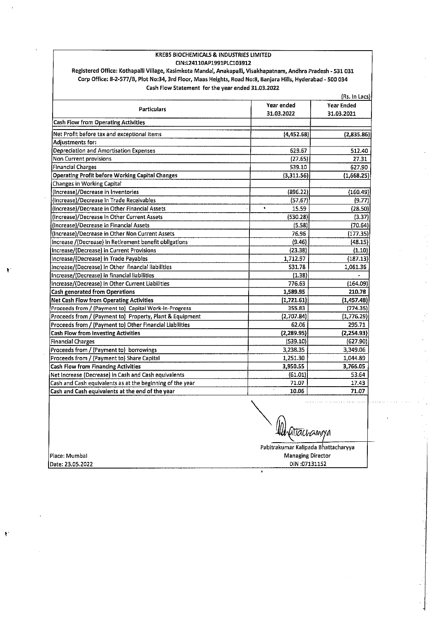#### KREBS BIOCHEMICALS & INDUSTRIES LIMITED CIN:L24110AP1991PLC103912

Registered Office: Kothapalli Village, Kasimkota Mandal, Anakapalli, Visakhapatnam, Andhra Pradesh - 531 031 Corp Office: 8-2-577/B, Plot No:34, 3rd Floor, Maas Heights, Road No:8, Banjara Hills, Hyderabad - 500 034 Cash Flow Statement for the year ended 31.03.2022

|                                                           | (Rs. In Lacs)      |                                 |  |  |  |
|-----------------------------------------------------------|--------------------|---------------------------------|--|--|--|
| <b>Particulars</b>                                        | Year ended         | <b>Year Ended</b><br>31.03.2021 |  |  |  |
|                                                           | 31.03.2022         |                                 |  |  |  |
| <b>Cash Flow from Operating Activities</b>                |                    |                                 |  |  |  |
| Net Profit before tax and exceptional items               | (4,452.68)         | (2,835.86)                      |  |  |  |
| <b>Adiustments for:</b>                                   |                    |                                 |  |  |  |
| Depreciation and Amortisation Expenses                    | 629.67             | 512.40                          |  |  |  |
| <b>Non Current provisions</b>                             | (27.65)            | 27.31                           |  |  |  |
| <b>Financial Charges</b>                                  | 539.10             | 627.90                          |  |  |  |
| <b>Operating Profit before Working Capital Changes</b>    | (3,311.56)         | (1,668.25)                      |  |  |  |
| Changes in Working Capital                                |                    |                                 |  |  |  |
| (Increase)/Decrease in Inventories                        | (896.22)           | (160.49)                        |  |  |  |
| (Increase)/Decrease in Trade Receivables                  | (57.67)            | (9.77)                          |  |  |  |
| (Increase)/Decrease in Other Financial Assets             | $\bullet$<br>15.59 | (28.50)                         |  |  |  |
| (Increase)/Decrease in Other Current Assets               | (530.28)           | (3.37)                          |  |  |  |
| (Increase)/Decrease in Financial Assets                   | (5.58)             | (70.64)                         |  |  |  |
| (Increase)/Decrease in Other Non Current Assets           | 76.96              | (177.35)                        |  |  |  |
| Increase /(Decrease) in Retirement benefit obligations    | (9.46)             | (48.15)                         |  |  |  |
| Increase/(Decrease) in Current Provisions                 | (23.38)            | (1.10)                          |  |  |  |
| Increase/(Decrease) in Trade Payables                     | 1,712.97           | (187.13)                        |  |  |  |
| Increase/(Decrease) in Other financial liabilities        | 531.78             | 1,061.36                        |  |  |  |
| Increase/(Decrease) in financial liabilities              | (1.38)             |                                 |  |  |  |
| Increase/(Decrease) in Other Current Liabilities          | 776.63             | (164.09)                        |  |  |  |
| <b>Cash generated from Operations</b>                     | 1,589.95           | 210.78                          |  |  |  |
| Net Cash Flow from Operating Activities                   | (1,721.61)         | (1,457.48)                      |  |  |  |
| Proceeds from / (Payment to) Capital Work-in-Progress     | 355.83             | (774.35)                        |  |  |  |
| Proceeds from / (Payment to) Property, Plant & Equipment  | (2,707.84)         | (1,776.29)                      |  |  |  |
| Proceeds from / (Payment to) Other Financial Liabilities  | 62.06              | 295.71                          |  |  |  |
| <b>Cash Flow from Investing Activities</b>                | (2, 289.95)        | (2, 254.93)                     |  |  |  |
| <b>Financial Charges</b>                                  | (539.10)           | (627.90)                        |  |  |  |
| Proceeds from / (Payment to) borrowings                   | 3,238.35           | 3,349.06                        |  |  |  |
| Proceeds from / (Payment to) Share Capital                | 1,251.30           | 1,044.89                        |  |  |  |
| <b>Cash Flow from Financing Activities</b>                | 3,950.55           | 3,766.05                        |  |  |  |
| Net Increase (Decrease) in Cash and Cash equivalents      | (61.01)            | 53.64                           |  |  |  |
| Cash and Cash equivalents as at the beginning of the year | 71.07              | 17.43                           |  |  |  |
| Cash and Cash equivalents at the end of the year          | 10.06              | 71.07                           |  |  |  |

htlachamya

Place: Mumbal Date: 23.05.2022

÷,

 $\ddot{\bullet}$ 

Pabitrakumar Kalipada Bhattacharyya **Managing Director** DIN:07131152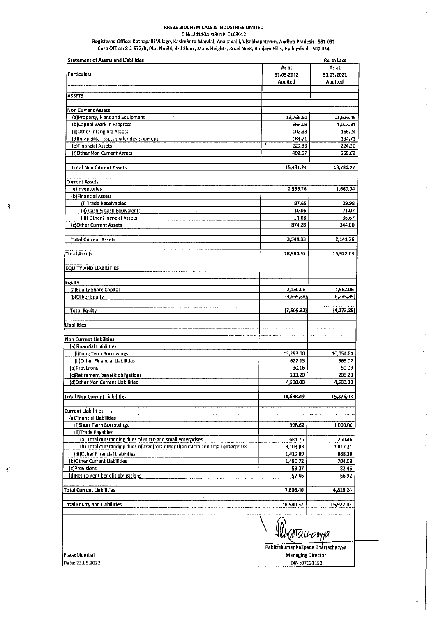#### **KREBS BIOCHEMICALS & INDUSTRIES LIMITED** CIN:L24110AP1991PLC103912

Registered Office: Kothapalli Village, Kasimkota Mandal, Anakapalli, Visakhapatnam, Andhra Pradesh - 531 031<br>Corp Office: 8-2-577/B, Plot No:34, 3rd Floor, Maas Heights, Road No:8, Banjara Hills, Hyderabad - 500 034

| <b>Statement of Assets and Liabilities</b>                                     |                                     | Rs. In Lacs        |  |
|--------------------------------------------------------------------------------|-------------------------------------|--------------------|--|
|                                                                                | As at                               | As at              |  |
| <b>Particulars</b>                                                             | 31.03.2022                          | 31.03.2021         |  |
|                                                                                | Audited                             | Audited            |  |
| <b>ASSETS</b>                                                                  |                                     |                    |  |
|                                                                                |                                     |                    |  |
| Non Current Assets                                                             |                                     |                    |  |
| $\cdot$<br>(a)Property, Plant and Equipment                                    | 13,768.51                           | 11,626.49          |  |
| (b)Capital Work in Progress                                                    | 653.09                              | 1,008.91           |  |
| (c)Other Intangible Assets                                                     | 102.38                              | 166.24             |  |
| (d)Intangible assets under development                                         | 184.71<br>ï                         | 184.71             |  |
| (e)Financial Assets                                                            | 229.88                              | 224.30             |  |
| (f)Other Non Current Assets                                                    | 492.67                              | 569.62             |  |
| <b>Total Non Current Assets</b>                                                | 15,431.24                           | 13,780.27          |  |
| <b>Current Assets</b>                                                          |                                     |                    |  |
| (a)Inventories                                                                 | 2,556.26                            | 1,660.04           |  |
| (b)Financial Assets                                                            |                                     |                    |  |
| (i) Trade Receivables                                                          | 87,65                               | 29.98              |  |
| (ii) Cash & Cash Equivalents                                                   | 10.06                               | 71.07              |  |
| (iii) Other Financial Assets                                                   | 21.08                               | 36.67              |  |
| (c)Other Current Assets                                                        | 874.28                              | 344.00             |  |
| <b>Total Current Assets</b>                                                    | 3,549.33                            | 2,141.76           |  |
|                                                                                |                                     |                    |  |
| <b>Total Assets</b>                                                            | 18,980.57                           | 15,922.03          |  |
| <b>EQUITY AND LIABILITIES</b>                                                  |                                     |                    |  |
| Equity                                                                         |                                     |                    |  |
| (a) Equity Share Capital                                                       | 2,156.06                            | 1,962.06           |  |
| (b)Other Equity                                                                | (9,665,38)                          | (6,235.35)         |  |
|                                                                                |                                     |                    |  |
| <b>Total Equity</b>                                                            | (7,509.32)                          | (4, 273, 29)       |  |
| Liabliities                                                                    |                                     |                    |  |
| <b>Non Current Liabilities</b>                                                 |                                     |                    |  |
| (a)Financial Liabilities                                                       |                                     |                    |  |
| (i)Long Term Borrowings                                                        | 13,293.00                           | 10,054.64          |  |
| (ii)Other Financial Liabilities                                                | 627.13                              | 565.07             |  |
| (b)Provisions                                                                  | 30.16                               | 50.09              |  |
| (c)Retirement benefit obligations                                              | 233.20                              | 205,28             |  |
| (d)Other Non Current Liabilities                                               | 4,500.00                            | 4,500,00           |  |
| Total Non Current Liab  itles                                                  | 18,683,49                           | 15,376.08          |  |
|                                                                                |                                     |                    |  |
| <b>Current Liablities</b>                                                      |                                     |                    |  |
| (a)Financial Llabilities                                                       |                                     |                    |  |
| (i)Short Term Borrowings<br>(ii)Trade Payables                                 | 998.62                              | 1,000.00           |  |
| (a) Total outstanding dues of micro and small enterprises                      | 681.76                              |                    |  |
| (b) Total outstanding dues of creditors other than micro and small enterprises | 3,108.88                            | 260,46<br>1,817.21 |  |
| (iii)Other Financial Liabilities                                               | 1,419.89                            | 888.10             |  |
| (b)Other Current Liabilities                                                   | 1,480.72                            | 704.09             |  |
| (c)Provisions                                                                  | 59.07                               | 82.45              |  |
| (d)Retirement benefit obligations                                              | 57.46                               | 66,92              |  |
| <b>Total Current Liabilities</b>                                               | 7,806.40                            | 4,819.24           |  |
| Total Equity and Liabilities                                                   | 18,980.57                           | 15,922.03          |  |
|                                                                                | Waliauanya                          |                    |  |
|                                                                                | Pabitrakumar Kalipada Bhattacharyya |                    |  |
| Place:Mumbai                                                                   | Managing Director                   |                    |  |
| Date: 23.05.2022                                                               | DIN:07131152                        |                    |  |

 $\bar{z}$ 

l, Ŷ.

 $\ddot{\bullet}$ 

 $\ddot{\phantom{a}}$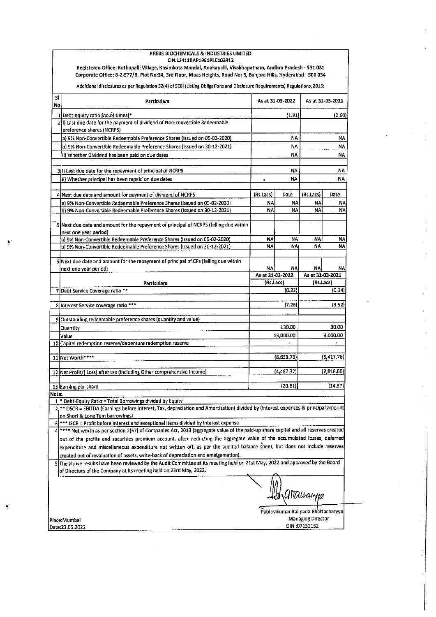|                                                                                 | KREBS BIOCHEMICALS & INDUSTRIES LIMITED<br>CIN:L24110AP1991PLC103912<br>Registered Office: Kothapalli Village, Kasimkota Mandal, Anakapalli, Visakhapatnam, Andhra Pradesh - 531 031                                                            |                                             |            |                   |        |  |
|---------------------------------------------------------------------------------|-------------------------------------------------------------------------------------------------------------------------------------------------------------------------------------------------------------------------------------------------|---------------------------------------------|------------|-------------------|--------|--|
|                                                                                 | Corporate Office: 8-2-577/B, Plot No:34, 3rd Floor, Maas Heights, Road No: 8, Banjara Hills, Hyderabad - 500 034<br>Additional disclosures as per Regulation 52(4) of SEBI (Listing Obligations and Disclosure Requirements) Regulations, 2015: |                                             |            |                   |        |  |
| SI.<br>No.                                                                      | <b>Particulars</b>                                                                                                                                                                                                                              | As at 31-03-2022                            |            | As at 31-03-2021  |        |  |
|                                                                                 | 1 Debt-equity ratio [no.of times]*                                                                                                                                                                                                              | (1.91)                                      |            | (2.60)            |        |  |
|                                                                                 | 2(i) Last due date for the payment of dividend of Non-convertible Redeemable                                                                                                                                                                    |                                             |            |                   |        |  |
|                                                                                 | preference shares (NCRPS)<br>a) 9% Non-Convertible Redeemable Preference Shares (Issued on 05-02-2020)                                                                                                                                          | NA.                                         |            | NΑ                |        |  |
|                                                                                 | b) 9% Non-Convertible Redeemable Preference Shares (Issued on 30-12-2021)                                                                                                                                                                       | NA                                          |            | ΝA                |        |  |
|                                                                                 | ii) Whether Dividend has been paid on due dates                                                                                                                                                                                                 | NA                                          |            | NA                |        |  |
|                                                                                 |                                                                                                                                                                                                                                                 |                                             |            |                   |        |  |
|                                                                                 | 3(i) Last due date for the repayment of principal of NCRPS                                                                                                                                                                                      | NΑ                                          |            | ΝA                |        |  |
|                                                                                 | ii) Whether principal has been repaid on due dates                                                                                                                                                                                              | NA.                                         |            |                   | NA     |  |
|                                                                                 | 4 Next due date and amount for payment of dividend of NCRPS                                                                                                                                                                                     | (Rs.Lacs)                                   | Date       | (Rs.Lacs)         | Date   |  |
|                                                                                 | a) 9% Non-Convertible Redeemable Preference Shares (Issued on 05-02-2020)                                                                                                                                                                       | ΝA                                          | NA         | NA                | NA     |  |
|                                                                                 | b) 9% Non-Convertible Redeemable Preference Shares (Issued on 30-12-2021)                                                                                                                                                                       | NA                                          | NA         | NA                | NA     |  |
|                                                                                 | 5 Next due date and amount for the repayment of principal of NCRPS (falling due within<br>next one year period)                                                                                                                                 |                                             |            |                   |        |  |
|                                                                                 | a) 9% Non-Convertible Redeemable Preference Shares (Issued on 05-02-2020)                                                                                                                                                                       | NA                                          | NA         | NA                | NA     |  |
|                                                                                 | b) 9% Non-Convertible Redeemable Preference Shares (Issued on 30-12-2021)                                                                                                                                                                       | NA                                          | NA.        | NA                | NA     |  |
|                                                                                 | 6 Next due date and amount for the repayment of principal of CPs (falling due within<br>next one year period)                                                                                                                                   | NA                                          | NAI        | NA                | NA     |  |
|                                                                                 |                                                                                                                                                                                                                                                 | As at 31-03-2022<br>(Rs.Lacs)               |            | As at 31-03-2021  |        |  |
|                                                                                 | Particulars                                                                                                                                                                                                                                     |                                             |            | (Rs.Lacs)         |        |  |
|                                                                                 |                                                                                                                                                                                                                                                 | (0, 22)<br>7 Debt Service Coverage ratio ** |            |                   | (0.14) |  |
|                                                                                 | 8 Interest Service coverage ratio ***                                                                                                                                                                                                           | (7.26)                                      |            | (3.52)            |        |  |
|                                                                                 | 9 Outstanding redeemable preference shares (quantity and value)                                                                                                                                                                                 |                                             |            |                   |        |  |
|                                                                                 | Quantity<br>Value                                                                                                                                                                                                                               | 130.00<br>13,000.00                         |            | 30.00<br>3.000.00 |        |  |
|                                                                                 | 10 Capital redemption reserve/debenture redemption reserve                                                                                                                                                                                      |                                             |            |                   |        |  |
|                                                                                 |                                                                                                                                                                                                                                                 |                                             |            |                   |        |  |
|                                                                                 | 11 Net Worth****                                                                                                                                                                                                                                |                                             | (8,653.79) | (5,417.76)        |        |  |
|                                                                                 | 12 Net Profit/(Loss) after tax (Including Other comprehensive Income)                                                                                                                                                                           | (4,487,32)                                  |            | (2,818.60)        |        |  |
|                                                                                 |                                                                                                                                                                                                                                                 |                                             |            |                   |        |  |
| Note:                                                                           | 13 Earning per share                                                                                                                                                                                                                            |                                             | (20.81)    |                   | (14.37 |  |
|                                                                                 | $1$ <sup>+</sup> Debt-Equity Ratio = Total Borrowings divided by Equity                                                                                                                                                                         |                                             |            |                   |        |  |
| 2                                                                               | ** DSCR = EBITDA (Earnings before interest, Tax, depreciation and Amortization) divided by (Interest expenses & principal amount                                                                                                                |                                             |            |                   |        |  |
|                                                                                 | on Short & Long Tem barrowings)                                                                                                                                                                                                                 |                                             |            |                   |        |  |
| 3<br>4                                                                          | *** ISCR = Profit before interest and exceptional items divided by interest expense<br>**** Net worth as per section 2(57) of Companies Act, 2013 (aggregate value of the paid-up share capital and all reserves created                        |                                             |            |                   |        |  |
|                                                                                 | out of the profits and securities premium account, after deducting the aggregate value of the accumulated losses, deferred                                                                                                                      |                                             |            |                   |        |  |
|                                                                                 | expenditure and miscellaneous expenditure not written off, as per the audited balance sheet, but does not include reserves                                                                                                                      |                                             |            |                   |        |  |
|                                                                                 | created out of revaluation of assets, write-back of depreciation and amalgamation).                                                                                                                                                             |                                             |            |                   |        |  |
|                                                                                 | 5 The above results have been reviewed by the Audit Committee at its meeting held on 21st May, 2022 and approved by the Board<br>of Directors of the Company at its meeting held on 23rd May, 2022.                                             |                                             |            |                   |        |  |
|                                                                                 | QMachamya                                                                                                                                                                                                                                       |                                             |            |                   |        |  |
| Pabitrakumar Kalipada Bhattacharyya<br><b>Managing Director</b><br>Place:Mumbai |                                                                                                                                                                                                                                                 |                                             |            |                   |        |  |
| Date:23.05.2022                                                                 |                                                                                                                                                                                                                                                 |                                             |            | DIN:07131152      |        |  |

Ą.

 $\Box$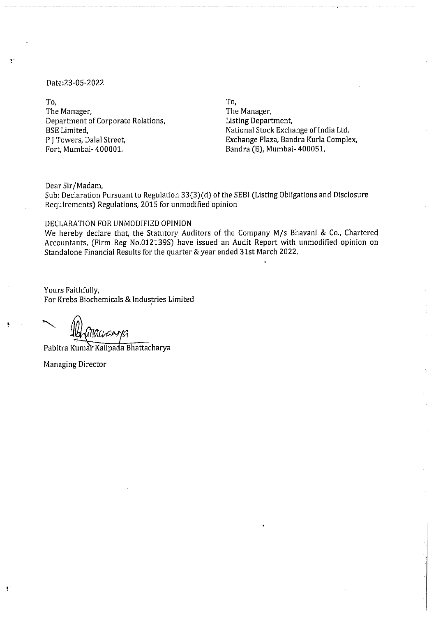#### Date:23-05-2022

To.

The Manager, Department of Corporate Relations, **BSE** Limited, P J Towers, Dalal Street, Fort, Mumbai- 400001.

To.

The Manager, Listing Department, National Stock Exchange of India Ltd. Exchange Plaza, Bandra Kurla Complex, Bandra (E), Mumbai- 400051.

Dear Sir/Madam,

Sub: Declaration Pursuant to Regulation 33(3)(d) of the SEBI (Listing Obligations and Disclosure Requirements) Regulations, 2015 for unmodified opinion

#### DECLARATION FOR UNMODIFIED OPINION

We hereby declare that, the Statutory Auditors of the Company M/s Bhavani & Co., Chartered Accountants, (Firm Reg No.012139S) have issued an Audit Report with unmodified opinion on Standalone Financial Results for the quarter & year ended 31st March 2022.

Yours Faithfully, For Krebs Biochemicals & Industries Limited

Pabitra Kumar Kalipada Bhattacharya

**Managing Director** 

 $\ddot{\phantom{1}}$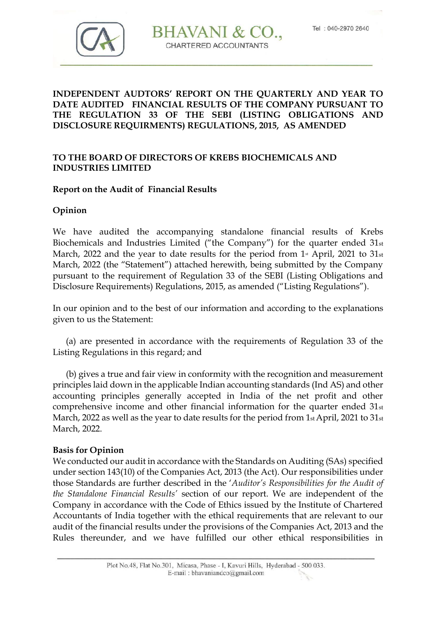

# **BHAVANI &** CHARTERED ACCOUNTANTS

# **INDEPENDENT AUDTORS' REPORT ON THE QUARTERLY AND YEAR TO DATE AUDITED FINANCIAL RESULTS OF THE COMPANY PURSUANT TO THE REGULATION 33 OF THE SEBI (LISTING OBLIGATIONS AND DISCLOSURE REQUIRMENTS) REGULATIONS, 2015, AS AMENDED**

# **TO THE BOARD OF DIRECTORS OF KREBS BIOCHEMICALS AND INDUSTRIES LIMITED**

## **Report on the Audit of Financial Results**

## **Opinion**

We have audited the accompanying standalone financial results of Krebs Biochemicals and Industries Limited ("the Company") for the quarter ended 31st March, 2022 and the year to date results for the period from  $1*$  April, 2021 to  $31*$ March, 2022 (the "Statement") attached herewith, being submitted by the Company pursuant to the requirement of Regulation 33 of the SEBI (Listing Obligations and Disclosure Requirements) Regulations, 2015, as amended ("Listing Regulations").

In our opinion and to the best of our information and according to the explanations given to us the Statement:

 (a) are presented in accordance with the requirements of Regulation 33 of the Listing Regulations in this regard; and

 (b) gives a true and fair view in conformity with the recognition and measurement principles laid down in the applicable Indian accounting standards (Ind AS) and other accounting principles generally accepted in India of the net profit and other comprehensive income and other financial information for the quarter ended 31st March, 2022 as well as the year to date results for the period from 1st April, 2021 to 31st March, 2022.

#### **Basis for Opinion**

We conducted our audit in accordance with the Standards on Auditing (SAs) specified under section 143(10) of the Companies Act, 2013 (the Act). Our responsibilities under those Standards are further described in the '*Auditor's Responsibilities for the Audit of the Standalone Financial Results'* section of our report. We are independent of the Company in accordance with the Code of Ethics issued by the Institute of Chartered Accountants of India together with the ethical requirements that are relevant to our audit of the financial results under the provisions of the Companies Act, 2013 and the Rules thereunder, and we have fulfilled our other ethical responsibilities in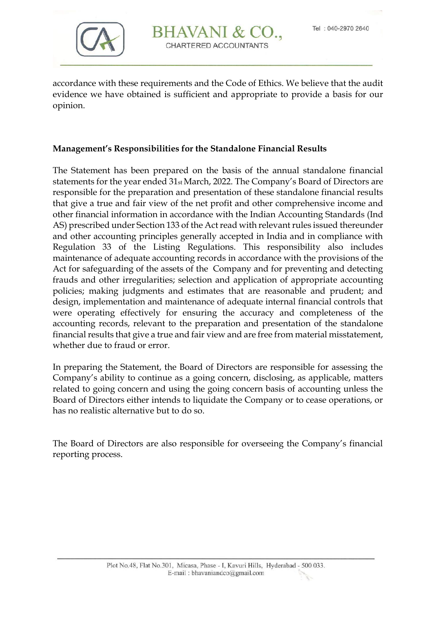

# BHAVANI & CHARTERED ACCOUNTANTS

accordance with these requirements and the Code of Ethics. We believe that the audit evidence we have obtained is sufficient and appropriate to provide a basis for our opinion.

## **Management's Responsibilities for the Standalone Financial Results**

The Statement has been prepared on the basis of the annual standalone financial statements for the year ended 31st March, 2022. The Company's Board of Directors are responsible for the preparation and presentation of these standalone financial results that give a true and fair view of the net profit and other comprehensive income and other financial information in accordance with the Indian Accounting Standards (Ind AS) prescribed under Section 133 of the Act read with relevant rules issued thereunder and other accounting principles generally accepted in India and in compliance with Regulation 33 of the Listing Regulations. This responsibility also includes maintenance of adequate accounting records in accordance with the provisions of the Act for safeguarding of the assets of the Company and for preventing and detecting frauds and other irregularities; selection and application of appropriate accounting policies; making judgments and estimates that are reasonable and prudent; and design, implementation and maintenance of adequate internal financial controls that were operating effectively for ensuring the accuracy and completeness of the accounting records, relevant to the preparation and presentation of the standalone financial results that give a true and fair view and are free from material misstatement, whether due to fraud or error.

In preparing the Statement, the Board of Directors are responsible for assessing the Company's ability to continue as a going concern, disclosing, as applicable, matters related to going concern and using the going concern basis of accounting unless the Board of Directors either intends to liquidate the Company or to cease operations, or has no realistic alternative but to do so.

The Board of Directors are also responsible for overseeing the Company's financial reporting process.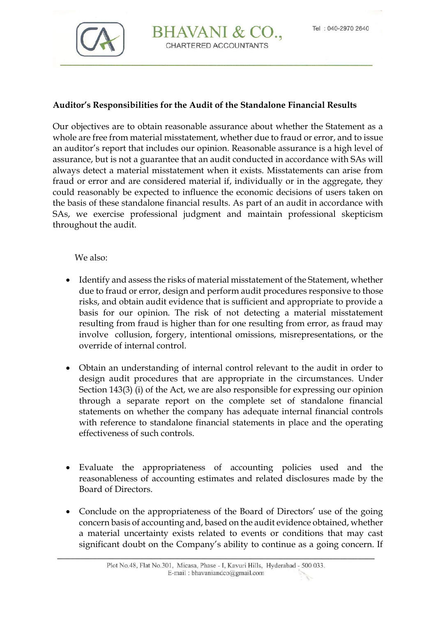

# BHAVANI & CHARTERED ACCOUNTANTS

#### **Auditor's Responsibilities for the Audit of the Standalone Financial Results**

Our objectives are to obtain reasonable assurance about whether the Statement as a whole are free from material misstatement, whether due to fraud or error, and to issue an auditor's report that includes our opinion. Reasonable assurance is a high level of assurance, but is not a guarantee that an audit conducted in accordance with SAs will always detect a material misstatement when it exists. Misstatements can arise from fraud or error and are considered material if, individually or in the aggregate, they could reasonably be expected to influence the economic decisions of users taken on the basis of these standalone financial results. As part of an audit in accordance with SAs, we exercise professional judgment and maintain professional skepticism throughout the audit.

We also:

- Identify and assess the risks of material misstatement of the Statement, whether due to fraud or error, design and perform audit procedures responsive to those risks, and obtain audit evidence that is sufficient and appropriate to provide a basis for our opinion. The risk of not detecting a material misstatement resulting from fraud is higher than for one resulting from error, as fraud may involve collusion, forgery, intentional omissions, misrepresentations, or the override of internal control.
- Obtain an understanding of internal control relevant to the audit in order to design audit procedures that are appropriate in the circumstances. Under Section 143(3) (i) of the Act, we are also responsible for expressing our opinion through a separate report on the complete set of standalone financial statements on whether the company has adequate internal financial controls with reference to standalone financial statements in place and the operating effectiveness of such controls.
- Evaluate the appropriateness of accounting policies used and the reasonableness of accounting estimates and related disclosures made by the Board of Directors.
- Conclude on the appropriateness of the Board of Directors' use of the going concern basis of accounting and, based on the audit evidence obtained, whether a material uncertainty exists related to events or conditions that may cast significant doubt on the Company's ability to continue as a going concern. If